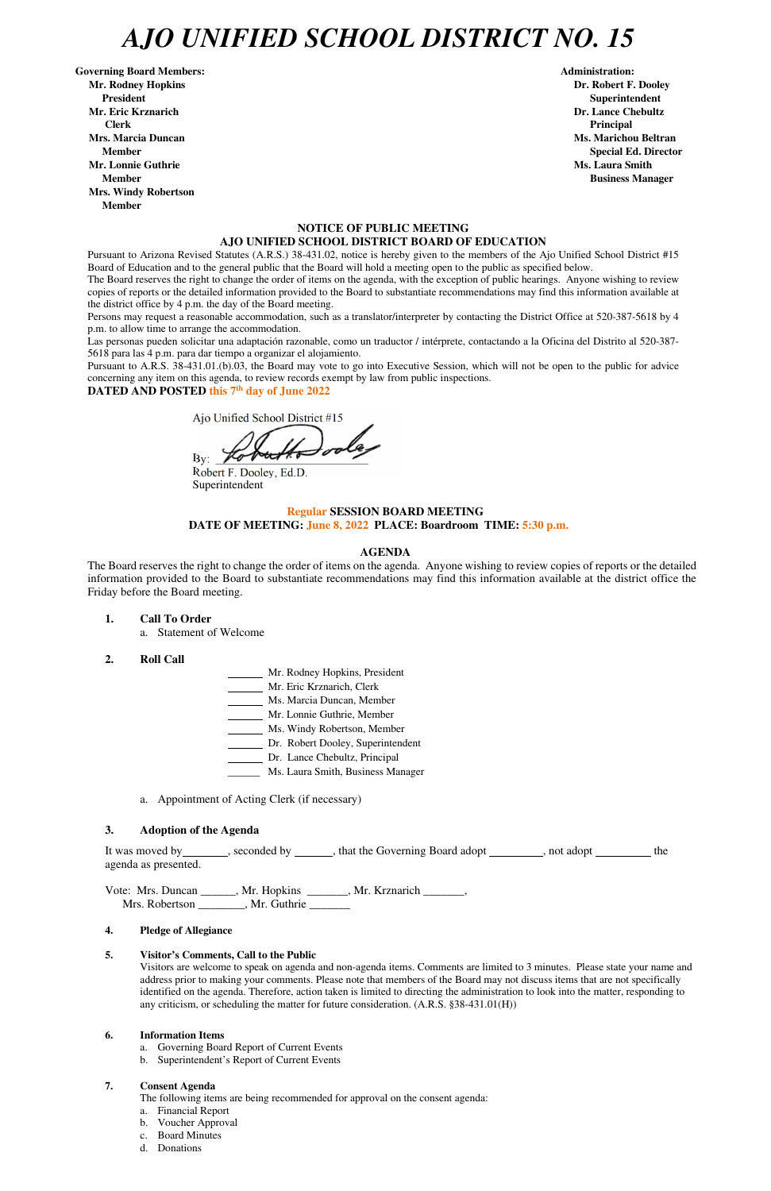## *AJO UNIFIED SCHOOL DISTRICT NO. 15*

Governing Board Members: **Administration: Administration: Administration: Mr. Rodney Hopkins Dr. Robert F. Dooley President Superintendent in the set of the set of the set of the set of the set of the Superintendent Superintendent Mr. Eric Krznarich Dr. Lance Chebultz Clerk Principal Mrs. Marcia Duncan Ms. Marichou Beltran** *Ms. Marichou Beltran* **Ms. Marichou Beltran <b>Ms. Marichou Beltran Mr. Lonnie Guthrie Ms. Laura Smith And All And All And All And All And All And All And All And All And All And All And All And All And And All And And All And And All And And All And And All And All And And All And And A Member Business Manager Business Manager Business Manager Mrs. Windy Robertson Member** 

#### **NOTICE OF PUBLIC MEETING AJO UNIFIED SCHOOL DISTRICT BOARD OF EDUCATION**

Pursuant to Arizona Revised Statutes (A.R.S.) 38-431.02, notice is hereby given to the members of the Ajo Unified School District #15 Board of Education and to the general public that the Board will hold a meeting open to the public as specified below.

The Board reserves the right to change the order of items on the agenda, with the exception of public hearings. Anyone wishing to review copies of reports or the detailed information provided to the Board to substantiate recommendations may find this information available at the district office by 4 p.m. the day of the Board meeting.

Persons may request a reasonable accommodation, such as a translator/interpreter by contacting the District Office at 520-387-5618 by 4 p.m. to allow time to arrange the accommodation.

Las personas pueden solicitar una adaptación razonable, como un traductor / intérprete, contactando a la Oficina del Distrito al 520-387- 5618 para las 4 p.m. para dar tiempo a organizar el alojamiento.

It was moved by seconded by , that the Governing Board adopt , not adopt , not adopt the agenda as presented.

Vote: Mrs. Duncan \_\_\_\_\_\_, Mr. Hopkins \_\_\_\_\_\_\_, Mr. Krznarich \_\_\_\_\_\_\_, Mrs. Robertson \_\_\_\_\_\_\_, Mr. Guthrie

**Member** Special Ed. Director **Special Ed. Director** 

Pursuant to A.R.S. 38-431.01.(b).03, the Board may vote to go into Executive Session, which will not be open to the public for advice concerning any item on this agenda, to review records exempt by law from public inspections.

**DATED AND POSTED this 7th day of June 2022** 

Ajo Unified School District #15

 $By: For 1$ 

Robert F. Dooley, Ed.D. Superintendent

#### **Regular SESSION BOARD MEETING DATE OF MEETING: June 8, 2022 PLACE: Boardroom TIME: 5:30 p.m.**

#### **AGENDA**

The Board reserves the right to change the order of items on the agenda. Anyone wishing to review copies of reports or the detailed information provided to the Board to substantiate recommendations may find this information available at the district office the Friday before the Board meeting.

**1. Call To Order** 

a. Statement of Welcome

- **2. Roll Call**
- Mr. Rodney Hopkins, President Mr. Eric Krznarich, Clerk Ms. Marcia Duncan, Member Mr. Lonnie Guthrie, Member Ms. Windy Robertson, Member Dr. Robert Dooley, Superintendent Dr. Lance Chebultz, Principal
- Ms. Laura Smith, Business Manager
- a. Appointment of Acting Clerk (if necessary)

#### **3. Adoption of the Agenda**

#### **4. Pledge of Allegiance**

#### **5. Visitor's Comments, Call to the Public**

Visitors are welcome to speak on agenda and non-agenda items. Comments are limited to 3 minutes. Please state your name and address prior to making your comments. Please note that members of the Board may not discuss items that are not specifically identified on the agenda. Therefore, action taken is limited to directing the administration to look into the matter, responding to any criticism, or scheduling the matter for future consideration. (A.R.S. §38-431.01(H))

#### **6. Information Items**

- a. Governing Board Report of Current Events
- b. Superintendent's Report of Current Events

#### **7. Consent Agenda**

The following items are being recommended for approval on the consent agenda:

- a. Financial Report
- b. Voucher Approval
- c. Board Minutes
- d. Donations